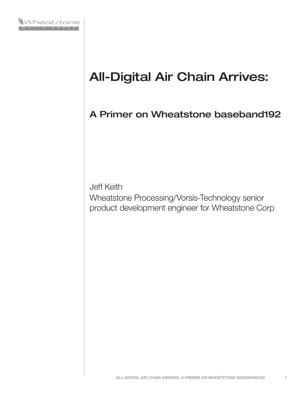

# All-Digital Air Chain Arrives:

A Primer on Wheatstone baseband192

Jeff Keith

Wheatstone Processing/Vorsis-Technology senior product development engineer for Wheatstone Corp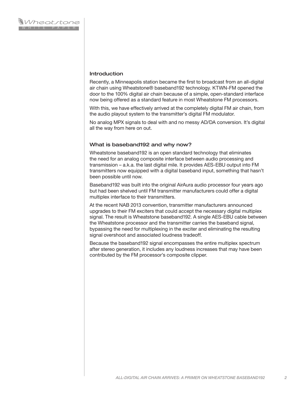#### **Introduction**

Recently, a Minneapolis station became the first to broadcast from an all-digital air chain using Wheatstone® baseband192 technology. KTWN-FM opened the door to the 100% digital air chain because of a simple, open-standard interface now being offered as a standard feature in most Wheatstone FM processors.

With this, we have effectively arrived at the completely digital FM air chain, from the audio playout system to the transmitter's digital FM modulator.

No analog MPX signals to deal with and no messy AD/DA conversion. It's digital all the way from here on out.

#### What is baseband192 and why now?

Wheatstone baseband192 is an open standard technology that eliminates the need for an analog composite interface between audio processing and transmission – a.k.a. the last digital mile. It provides AES-EBU output into FM transmitters now equipped with a digital baseband input, something that hasn't been possible until now.

Baseband192 was built into the original AirAura audio processor four years ago but had been shelved until FM transmitter manufacturers could offer a digital multiplex interface to their transmitters.

At the recent NAB 2013 convention, transmitter manufacturers announced upgrades to their FM exciters that could accept the necessary digital multiplex signal. The result is Wheatstone baseband192. A single AES-EBU cable between the Wheatstone processor and the transmitter carries the baseband signal, bypassing the need for multiplexing in the exciter and eliminating the resulting signal overshoot and associated loudness tradeoff.

Because the baseband192 signal encompasses the entire multiplex spectrum after stereo generation, it includes any loudness increases that may have been contributed by the FM processor's composite clipper.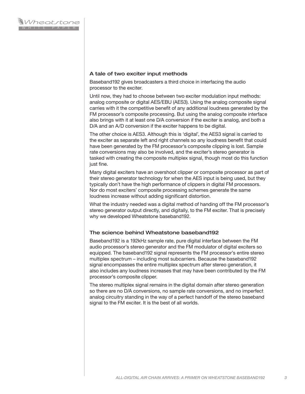## A tale of two exciter input methods

Baseband192 gives broadcasters a third choice in interfacing the audio processor to the exciter.

Until now, they had to choose between two exciter modulation input methods: analog composite or digital AES/EBU (AES3). Using the analog composite signal carries with it the competitive benefit of any additional loudness generated by the FM processor's composite processing. But using the analog composite interface also brings with it at least one D/A conversion if the exciter is analog, and both a D/A and an A/D conversion if the exciter happens to be digital.

The other choice is AES3. Although this is 'digital', the AES3 signal is carried to the exciter as separate left and right channels so any loudness benefit that could have been generated by the FM processor's composite clipping is lost. Sample rate conversions may also be involved, and the exciter's stereo generator is tasked with creating the composite multiplex signal, though most do this function just fine.

Many digital exciters have an overshoot clipper or composite processor as part of their stereo generator technology for when the AES input is being used, but they typically don't have the high performance of clippers in digital FM processors. Nor do most exciters' composite processing schemes generate the same loudness increase without adding significant distortion.

What the industry needed was a digital method of handing off the FM processor's stereo generator output directly, and digitally, to the FM exciter. That is precisely why we developed Wheatstone baseband192.

## The science behind Wheatstone baseband192

Baseband192 is a 192kHz sample rate, pure digital interface between the FM audio processor's stereo generator and the FM modulator of digital exciters so equipped. The baseband192 signal represents the FM processor's entire stereo multiplex spectrum – including most subcarriers. Because the baseband192 signal encompasses the entire multiplex spectrum after stereo generation, it also includes any loudness increases that may have been contributed by the FM processor's composite clipper.

The stereo multiplex signal remains in the digital domain after stereo generation so there are no D/A conversions, no sample rate conversions, and no imperfect analog circuitry standing in the way of a perfect handoff of the stereo baseband signal to the FM exciter. It is the best of all worlds.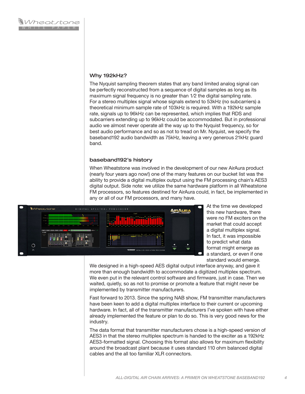## Why 192kHz?

The Nyquist sampling theorem states that any band limited analog signal can be perfectly reconstructed from a sequence of digital samples as long as its maximum signal frequency is no greater than 1⁄2 the digital sampling rate. For a stereo multiplex signal whose signals extend to 53kHz (no subcarriers) a theoretical minimum sample rate of 103kHz is required. With a 192kHz sample rate, signals up to 96kHz can be represented, which implies that RDS and subcarriers extending up to 96kHz could be accommodated. But in professional audio we almost never operate all the way up to the Nyquist frequency, so for best audio performance and so as not to tread on Mr. Nyquist, we specify the baseband192 audio bandwidth as 75kHz, leaving a very generous 21kHz guard band.

## baseband192's history

When Wheatstone was involved in the development of our new AirAura product (nearly four years ago now!) one of the many features on our bucket list was the ability to provide a digital multiplex output using the FM processing chain's AES3 digital output. Side note: we utilize the same hardware platform in all Wheatstone FM processors, so features destined for AirAura could, in fact, be implemented in any or all of our FM processors, and many have.



At the time we developed this new hardware, there were no FM exciters on the market that could accept a digital multiplex signal. In fact, it was impossible to predict what data format might emerge as a standard, or even if one standard would emerge.

We designed in a high-speed AES digital output interface anyway, and gave it more than enough bandwidth to accommodate a digitized multiplex spectrum. We even put in the relevant control software and firmware, just in case. Then we waited, quietly, so as not to promise or promote a feature that might never be implemented by transmitter manufacturers.

Fast forward to 2013. Since the spring NAB show, FM transmitter manufacturers have been keen to add a digital multiplex interface to their current or upcoming hardware. In fact, all of the transmitter manufacturers I've spoken with have either already implemented the feature or plan to do so. This is very good news for the industry.

The data format that transmitter manufacturers chose is a high-speed version of AES3 in that the stereo multiplex spectrum is handed to the exciter as a 192kHz AES3-formatted signal. Choosing this format also allows for maximum flexibility around the broadcast plant because it uses standard 110 ohm balanced digital cables and the all too familiar XLR connectors.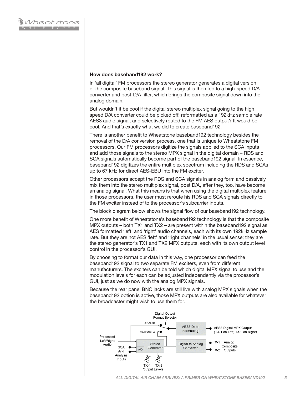#### **How does baseband192 work?**

In 'all digital' FM processors the stereo generator generates a digital version of the composite baseband signal. This signal is then fed to a high-speed D/A converter and post-D/A filter, which brings the composite signal down into the analog domain.

But wouldn't it be cool if the digital stereo multiplex signal going to the high speed D/A converter could be picked off, reformatted as a 192kHz sample rate AES3 audio signal, and selectively routed to the FM AES output? It would be cool. And that's exactly what we did to create baseband192.

There is another benefit to Wheatstone baseband192 technology besides the removal of the D/A conversion process, one that is unique to Wheatstone FM processors. Our FM processors digitize the signals applied to the SCA inputs and add those signals to the stereo MPX signal in the digital domain – RDS and SCA signals automatically become part of the baseband192 signal. In essence, baseband192 digitizes the entire multiplex spectrum including the RDS and SCAs up to 67 kHz for direct AES-EBU into the FM exciter.

Other processors accept the RDS and SCA signals in analog form and passively mix them into the stereo multiplex signal, post D/A, after they, too, have become an analog signal. What this means is that when using the digital multiplex feature in those processors, the user must reroute his RDS and SCA signals directly to the FM exciter instead of to the processor's subcarrier inputs.

The block diagram below shows the signal flow of our baseband192 technology.

One more benefit of Wheatstone's baseband192 technology is that the composite MPX outputs – both TX1 and TX2 – are present within the baseband192 signal as AES formatted 'left' and 'right' audio channels, each with its own 192kHz sample rate. But they are not AES 'left' and 'right channels' in the usual sense; they are the stereo generator's TX1 and TX2 MPX outputs, each with its own output level control in the processor's GUI.

By choosing to format our data in this way, one processor can feed the baseband192 signal to two separate FM exciters, even from different manufacturers. The exciters can be told which digital MPX signal to use and the modulation levels for each can be adjusted independently via the processor's GUI, just as we do now with the analog MPX signals.

Because the rear panel BNC jacks are still live with analog MPX signals when the baseband192 option is active, those MPX outputs are also available for whatever the broadcaster might wish to use them for.